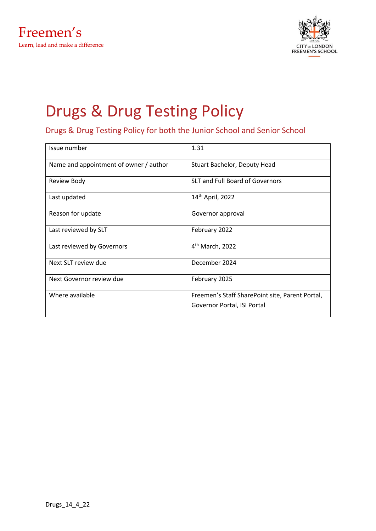

# Drugs & Drug Testing Policy

Drugs & Drug Testing Policy for both the Junior School and Senior School

| Issue number                           | 1.31                                                                           |
|----------------------------------------|--------------------------------------------------------------------------------|
| Name and appointment of owner / author | Stuart Bachelor, Deputy Head                                                   |
| Review Body                            | <b>SLT and Full Board of Governors</b>                                         |
| Last updated                           | 14 <sup>th</sup> April, 2022                                                   |
| Reason for update                      | Governor approval                                                              |
| Last reviewed by SLT                   | February 2022                                                                  |
| Last reviewed by Governors             | 4 <sup>th</sup> March, 2022                                                    |
| Next SLT review due                    | December 2024                                                                  |
| Next Governor review due               | February 2025                                                                  |
| Where available                        | Freemen's Staff SharePoint site, Parent Portal,<br>Governor Portal, ISI Portal |
|                                        |                                                                                |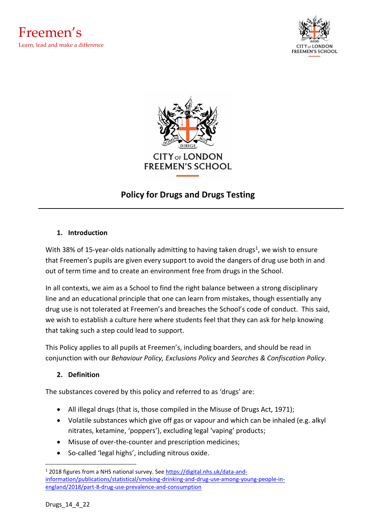





# **Policy for Drugs and Drugs Testing**

#### **1. Introduction**

With 38% of 15-year-olds nationally admitting to having taken drugs<sup>1</sup>, we wish to ensure that Freemen's pupils are given every support to avoid the dangers of drug use both in and out of term time and to create an environment free from drugs in the School.

In all contexts, we aim as a School to find the right balance between a strong disciplinary line and an educational principle that one can learn from mistakes, though essentially any drug use is not tolerated at Freemen's and breaches the School's code of conduct. This said, we wish to establish a culture here where students feel that they can ask for help knowing that taking such a step could lead to support.

This Policy applies to all pupils at Freemen's, including boarders, and should be read in conjunction with our *Behaviour Policy, Exclusions Policy* and *Searches & Confiscation Policy*.

# **2. Definition**

The substances covered by this policy and referred to as 'drugs' are:

- All illegal drugs (that is, those compiled in the Misuse of Drugs Act, 1971);
- Volatile substances which give off gas or vapour and which can be inhaled (e.g. alkyl nitrates, ketamine, 'poppers'), excluding legal 'vaping' products;
- Misuse of over-the-counter and prescription medicines;
- So-called 'legal highs', including nitrous oxide.

<sup>&</sup>lt;sup>1</sup> 2018 figures from a NHS national survey. Se[e https://digital.nhs.uk/data-and](https://digital.nhs.uk/data-and-information/publications/statistical/statistics-on-drug-misuse/2016)[information/publications/statistical/smoking-drinking-and-drug-use-among-young-people-in](https://digital.nhs.uk/data-and-information/publications/statistical/statistics-on-drug-misuse/2016)[england/2018/part-8-drug-use-prevalence-and-consumption](https://digital.nhs.uk/data-and-information/publications/statistical/statistics-on-drug-misuse/2016)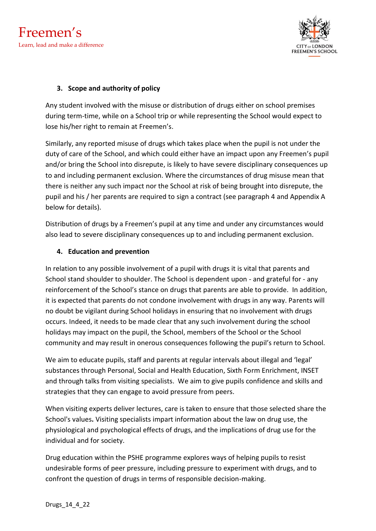



#### **3. Scope and authority of policy**

Any student involved with the misuse or distribution of drugs either on school premises during term-time, while on a School trip or while representing the School would expect to lose his/her right to remain at Freemen's.

Similarly, any reported misuse of drugs which takes place when the pupil is not under the duty of care of the School, and which could either have an impact upon any Freemen's pupil and/or bring the School into disrepute, is likely to have severe disciplinary consequences up to and including permanent exclusion. Where the circumstances of drug misuse mean that there is neither any such impact nor the School at risk of being brought into disrepute, the pupil and his / her parents are required to sign a contract (see paragraph 4 and Appendix A below for details).

Distribution of drugs by a Freemen's pupil at any time and under any circumstances would also lead to severe disciplinary consequences up to and including permanent exclusion.

#### **4. Education and prevention**

In relation to any possible involvement of a pupil with drugs it is vital that parents and School stand shoulder to shoulder. The School is dependent upon - and grateful for - any reinforcement of the School's stance on drugs that parents are able to provide. In addition, it is expected that parents do not condone involvement with drugs in any way. Parents will no doubt be vigilant during School holidays in ensuring that no involvement with drugs occurs. Indeed, it needs to be made clear that any such involvement during the school holidays may impact on the pupil, the School, members of the School or the School community and may result in onerous consequences following the pupil's return to School.

We aim to educate pupils, staff and parents at regular intervals about illegal and 'legal' substances through Personal, Social and Health Education, Sixth Form Enrichment, INSET and through talks from visiting specialists. We aim to give pupils confidence and skills and strategies that they can engage to avoid pressure from peers.

When visiting experts deliver lectures, care is taken to ensure that those selected share the School's values**.** Visiting specialists impart information about the law on drug use, the physiological and psychological effects of drugs, and the implications of drug use for the individual and for society.

Drug education within the PSHE programme explores ways of helping pupils to resist undesirable forms of peer pressure, including pressure to experiment with drugs, and to confront the question of drugs in terms of responsible decision-making.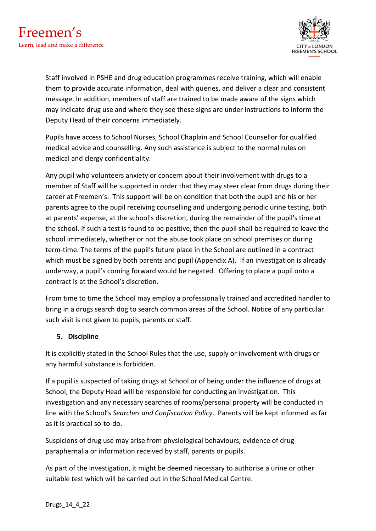

Staff involved in PSHE and drug education programmes receive training, which will enable them to provide accurate information, deal with queries, and deliver a clear and consistent message. In addition, members of staff are trained to be made aware of the signs which may indicate drug use and where they see these signs are under instructions to inform the Deputy Head of their concerns immediately.

Pupils have access to School Nurses, School Chaplain and School Counsellor for qualified medical advice and counselling. Any such assistance is subject to the normal rules on medical and clergy confidentiality.

Any pupil who volunteers anxiety or concern about their involvement with drugs to a member of Staff will be supported in order that they may steer clear from drugs during their career at Freemen's. This support will be on condition that both the pupil and his or her parents agree to the pupil receiving counselling and undergoing periodic urine testing, both at parents' expense, at the school's discretion, during the remainder of the pupil's time at the school. If such a test is found to be positive, then the pupil shall be required to leave the school immediately, whether or not the abuse took place on school premises or during term-time. The terms of the pupil's future place in the School are outlined in a contract which must be signed by both parents and pupil (Appendix A). If an investigation is already underway, a pupil's coming forward would be negated. Offering to place a pupil onto a contract is at the School's discretion.

From time to time the School may employ a professionally trained and accredited handler to bring in a drugs search dog to search common areas of the School. Notice of any particular such visit is not given to pupils, parents or staff.

# **5. Discipline**

It is explicitly stated in the School Rules that the use, supply or involvement with drugs or any harmful substance is forbidden.

If a pupil is suspected of taking drugs at School or of being under the influence of drugs at School, the Deputy Head will be responsible for conducting an investigation. This investigation and any necessary searches of rooms/personal property will be conducted in line with the School's *Searches and Confiscation Policy*. Parents will be kept informed as far as it is practical so-to-do.

Suspicions of drug use may arise from physiological behaviours, evidence of drug paraphernalia or information received by staff, parents or pupils.

As part of the investigation, it might be deemed necessary to authorise a urine or other suitable test which will be carried out in the School Medical Centre.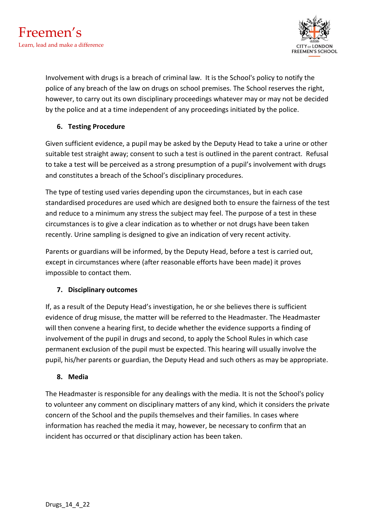

Involvement with drugs is a breach of criminal law. It is the School's policy to notify the police of any breach of the law on drugs on school premises. The School reserves the right, however, to carry out its own disciplinary proceedings whatever may or may not be decided by the police and at a time independent of any proceedings initiated by the police.

# **6. Testing Procedure**

Given sufficient evidence, a pupil may be asked by the Deputy Head to take a urine or other suitable test straight away; consent to such a test is outlined in the parent contract. Refusal to take a test will be perceived as a strong presumption of a pupil's involvement with drugs and constitutes a breach of the School's disciplinary procedures.

The type of testing used varies depending upon the circumstances, but in each case standardised procedures are used which are designed both to ensure the fairness of the test and reduce to a minimum any stress the subject may feel. The purpose of a test in these circumstances is to give a clear indication as to whether or not drugs have been taken recently. Urine sampling is designed to give an indication of very recent activity.

Parents or guardians will be informed, by the Deputy Head, before a test is carried out, except in circumstances where (after reasonable efforts have been made) it proves impossible to contact them.

# **7. Disciplinary outcomes**

If, as a result of the Deputy Head's investigation, he or she believes there is sufficient evidence of drug misuse, the matter will be referred to the Headmaster. The Headmaster will then convene a hearing first, to decide whether the evidence supports a finding of involvement of the pupil in drugs and second, to apply the School Rules in which case permanent exclusion of the pupil must be expected. This hearing will usually involve the pupil, his/her parents or guardian, the Deputy Head and such others as may be appropriate.

# **8. Media**

The Headmaster is responsible for any dealings with the media. It is not the School's policy to volunteer any comment on disciplinary matters of any kind, which it considers the private concern of the School and the pupils themselves and their families. In cases where information has reached the media it may, however, be necessary to confirm that an incident has occurred or that disciplinary action has been taken.